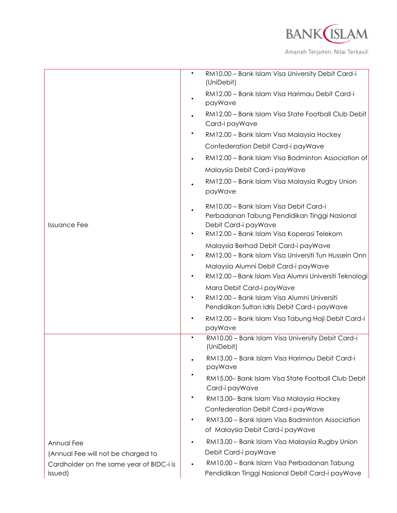

|                                          |           | RM10.00 - Bank Islam Visa University Debit Card-i<br>(UniDebit)                                                                                              |
|------------------------------------------|-----------|--------------------------------------------------------------------------------------------------------------------------------------------------------------|
|                                          |           | RM12.00 - Bank Islam Visa Harimau Debit Card-i<br>payWave                                                                                                    |
|                                          |           | RM12.00 - Bank Islam Visa State Football Club Debit<br>Card-i payWave                                                                                        |
|                                          |           | RM12.00 - Bank Islam Visa Malaysia Hockey                                                                                                                    |
|                                          |           | Confederation Debit Card-i payWave                                                                                                                           |
|                                          |           | RM12.00 - Bank Islam Visa Badminton Association of                                                                                                           |
| <b>Issuance Fee</b>                      |           | Malaysia Debit Card-i payWave                                                                                                                                |
|                                          |           | RM12.00 - Bank Islam Visa Malaysia Rugby Union<br>payWave                                                                                                    |
|                                          |           | RM10.00 - Bank Islam Visa Debit Card-i<br>Perbadanan Tabung Pendidikan Tinggi Nasional<br>Debit Card-i payWave<br>RM12.00 - Bank Islam Visa Koperasi Telekom |
|                                          |           |                                                                                                                                                              |
|                                          |           | Malaysia Berhad Debit Card-i payWave<br>RM12.00 - Bank Islam Visa Universiti Tun Hussein Onn                                                                 |
|                                          |           | Malaysia Alumni Debit Card-i payWave                                                                                                                         |
|                                          |           | RM12.00 - Bank Islam Visa Alumni Universiti Teknologi                                                                                                        |
|                                          |           | Mara Debit Card-i payWave                                                                                                                                    |
|                                          |           | RM12.00 - Bank Islam Visa Alumni Universiti<br>Pendidikan Sultan Idris Debit Card-i payWave                                                                  |
|                                          |           | RM12.00 - Bank Islam Visa Tabung Haji Debit Card-i<br>payWave                                                                                                |
|                                          | $\bullet$ | RM10.00 - Bank Islam Visa University Debit Card-i<br>(UniDebit)                                                                                              |
|                                          |           | RM13.00 - Bank Islam Visa Harimau Debit Card-i<br>payWave                                                                                                    |
|                                          |           | RM15.00- Bank Islam Visa State Football Club Debit<br>Card-i payWave                                                                                         |
|                                          |           | RM13.00-Bank Islam Visa Malaysia Hockey                                                                                                                      |
|                                          |           | Confederation Debit Card-i payWave                                                                                                                           |
|                                          |           | RM13.00 - Bank Islam Visa Badminton Association<br>of Malaysia Debit Card-i payWave                                                                          |
| Annual Fee                               |           | RM13.00 - Bank Islam Visa Malaysia Rugby Union                                                                                                               |
| (Annual Fee will not be charged to       |           | Debit Card-i payWave                                                                                                                                         |
| Cardholder on the same year of BIDC-i is |           | RM10.00 - Bank Islam Visa Perbadanan Tabung                                                                                                                  |
| issued)                                  |           | Pendidikan Tinggi Nasional Debit Card-i payWave                                                                                                              |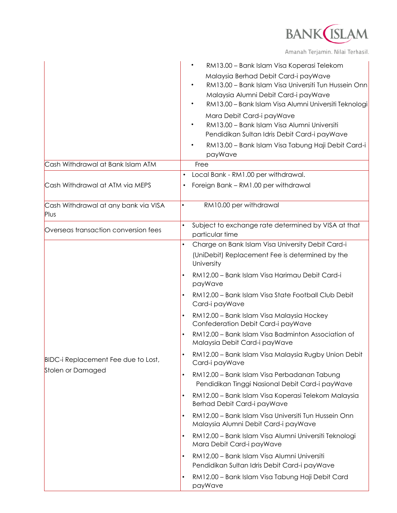

Amanah Terjamin. Nilai Terhasil.

|                                                          | RM13.00 - Bank Islam Visa Koperasi Telekom<br>Malaysia Berhad Debit Card-i payWave<br>RM13.00 - Bank Islam Visa Universiti Tun Hussein Onn<br>Malaysia Alumni Debit Card-i payWave<br>RM13.00 - Bank Islam Visa Alumni Universiti Teknologi<br>Mara Debit Card-i payWave<br>RM13.00 - Bank Islam Visa Alumni Universiti<br>Pendidikan Sultan Idris Debit Card-i payWave |
|----------------------------------------------------------|-------------------------------------------------------------------------------------------------------------------------------------------------------------------------------------------------------------------------------------------------------------------------------------------------------------------------------------------------------------------------|
|                                                          | RM13.00 - Bank Islam Visa Tabung Haji Debit Card-i<br>payWave                                                                                                                                                                                                                                                                                                           |
| Cash Withdrawal at Bank Islam ATM                        | Free                                                                                                                                                                                                                                                                                                                                                                    |
|                                                          | Local Bank - RM1.00 per withdrawal.<br>$\bullet$                                                                                                                                                                                                                                                                                                                        |
| Cash Withdrawal at ATM via MEPS                          | Foreign Bank - RM1.00 per withdrawal                                                                                                                                                                                                                                                                                                                                    |
| Cash Withdrawal at any bank via VISA<br>Plus             | RM10.00 per withdrawal<br>$\bullet$                                                                                                                                                                                                                                                                                                                                     |
| Overseas transaction conversion fees                     | Subject to exchange rate determined by VISA at that<br>$\bullet$<br>particular time                                                                                                                                                                                                                                                                                     |
| BIDC-i Replacement Fee due to Lost,<br>Stolen or Damaged | Charge on Bank Islam Visa University Debit Card-i<br>(UniDebit) Replacement Fee is determined by the<br>University                                                                                                                                                                                                                                                      |
|                                                          | RM12.00 - Bank Islam Visa Harimau Debit Card-i<br>payWave                                                                                                                                                                                                                                                                                                               |
|                                                          | RM12.00 - Bank Islam Visa State Football Club Debit<br>Card-i payWave                                                                                                                                                                                                                                                                                                   |
|                                                          | RM12.00 - Bank Islam Visa Malaysia Hockey<br>Confederation Debit Card-i payWave                                                                                                                                                                                                                                                                                         |
|                                                          | RM12.00 - Bank Islam Visa Badminton Association of<br>Malaysia Debit Card-i payWave                                                                                                                                                                                                                                                                                     |
|                                                          | RM12.00 - Bank Islam Visa Malaysia Rugby Union Debit<br>Card-i payWave                                                                                                                                                                                                                                                                                                  |
|                                                          | RM12.00 - Bank Islam Visa Perbadanan Tabung<br>$\bullet$<br>Pendidikan Tinggi Nasional Debit Card-i payWave                                                                                                                                                                                                                                                             |
|                                                          | RM12.00 - Bank Islam Visa Koperasi Telekom Malaysia<br>Berhad Debit Card-i payWave                                                                                                                                                                                                                                                                                      |
|                                                          | RM12.00 - Bank Islam Visa Universiti Tun Hussein Onn<br>$\bullet$<br>Malaysia Alumni Debit Card-i payWave                                                                                                                                                                                                                                                               |
|                                                          | RM12.00 - Bank Islam Visa Alumni Universiti Teknologi<br>$\bullet$<br>Mara Debit Card-i payWave                                                                                                                                                                                                                                                                         |
|                                                          | RM12.00 - Bank Islam Visa Alumni Universiti<br>Pendidikan Sultan Idris Debit Card-i payWave                                                                                                                                                                                                                                                                             |
|                                                          | RM12.00 - Bank Islam Visa Tabung Haji Debit Card<br>payWave                                                                                                                                                                                                                                                                                                             |